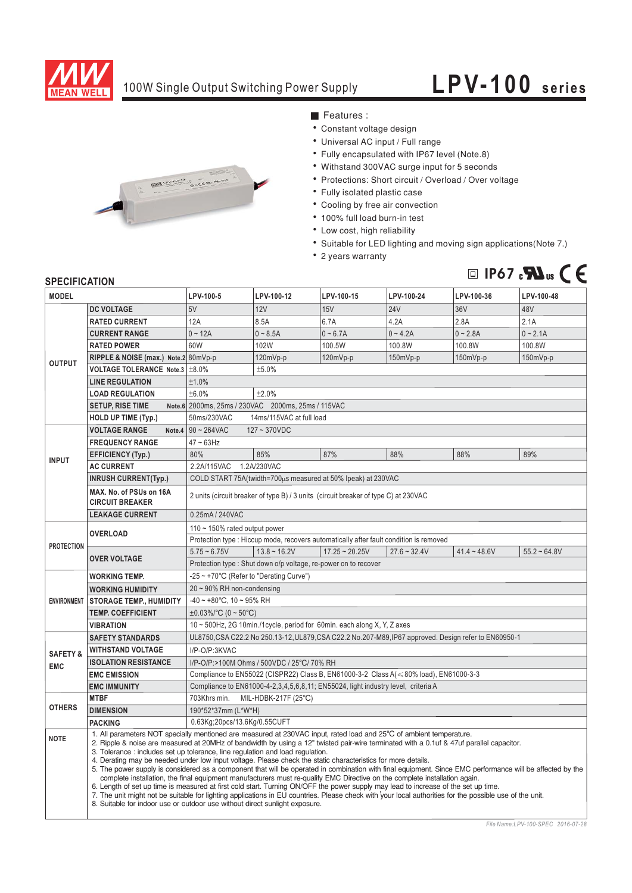

## 100W Single Output Switching Power Supply

## **LPV-100 series**



■ Features :

- Constant voltage design
- Universal AC input / Full range
- Fully encapsulated with IP67 level (Note.8)
- Withstand 300VAC surge input for 5 seconds
- Protections: Short circuit / Overload / Over voltage
- Fully isolated plastic case
- Cooling by free air convection
- 100% full load burn-in test
- Low cost, high reliability
- Suitable for LED lighting and moving sign applications (Note 7.)
- 2 years warranty



## **SPECIFICATION**

| <b>MODEL</b>                      |                                                                                                                                                                                                                                                                                                                                                                                                                                                                                                                                                                                                                                                                                                                                                                                                                                                                                                                                                                                                                      | LPV-100-5                                                                                                                                                                                                     | LPV-100-12 | LPV-100-15 | LPV-100-24 | LPV-100-36 | LPV-100-48 |
|-----------------------------------|----------------------------------------------------------------------------------------------------------------------------------------------------------------------------------------------------------------------------------------------------------------------------------------------------------------------------------------------------------------------------------------------------------------------------------------------------------------------------------------------------------------------------------------------------------------------------------------------------------------------------------------------------------------------------------------------------------------------------------------------------------------------------------------------------------------------------------------------------------------------------------------------------------------------------------------------------------------------------------------------------------------------|---------------------------------------------------------------------------------------------------------------------------------------------------------------------------------------------------------------|------------|------------|------------|------------|------------|
| <b>OUTPUT</b>                     | <b>DC VOLTAGE</b>                                                                                                                                                                                                                                                                                                                                                                                                                                                                                                                                                                                                                                                                                                                                                                                                                                                                                                                                                                                                    | 5V                                                                                                                                                                                                            | <b>12V</b> | 15V        | 24V        | 36V        | 48V        |
|                                   | <b>RATED CURRENT</b>                                                                                                                                                                                                                                                                                                                                                                                                                                                                                                                                                                                                                                                                                                                                                                                                                                                                                                                                                                                                 | 12A                                                                                                                                                                                                           | 8.5A       | 6.7A       | 4.2A       | 2.8A       | 2.1A       |
|                                   | <b>CURRENT RANGE</b>                                                                                                                                                                                                                                                                                                                                                                                                                                                                                                                                                                                                                                                                                                                                                                                                                                                                                                                                                                                                 | $0 - 12A$                                                                                                                                                                                                     | $0 - 8.5A$ | $0 - 6.7A$ | $0 - 4.2A$ | $0 - 2.8A$ | $0 - 2.1A$ |
|                                   | <b>RATED POWER</b>                                                                                                                                                                                                                                                                                                                                                                                                                                                                                                                                                                                                                                                                                                                                                                                                                                                                                                                                                                                                   | 60W                                                                                                                                                                                                           | 102W       | 100.5W     | 100.8W     | 100.8W     | 100.8W     |
|                                   | RIPPLE & NOISE (max.) Note.2 80mVp-p                                                                                                                                                                                                                                                                                                                                                                                                                                                                                                                                                                                                                                                                                                                                                                                                                                                                                                                                                                                 |                                                                                                                                                                                                               | 120mVp-p   | 120mVp-p   | 150mVp-p   | 150mVp-p   | 150mVp-p   |
|                                   | VOLTAGE TOLERANCE Note.3 ±8.0%                                                                                                                                                                                                                                                                                                                                                                                                                                                                                                                                                                                                                                                                                                                                                                                                                                                                                                                                                                                       | ±5.0%                                                                                                                                                                                                         |            |            |            |            |            |
|                                   | <b>LINE REGULATION</b>                                                                                                                                                                                                                                                                                                                                                                                                                                                                                                                                                                                                                                                                                                                                                                                                                                                                                                                                                                                               | ±1.0%                                                                                                                                                                                                         |            |            |            |            |            |
|                                   | <b>LOAD REGULATION</b>                                                                                                                                                                                                                                                                                                                                                                                                                                                                                                                                                                                                                                                                                                                                                                                                                                                                                                                                                                                               | ±6.0%<br>±2.0%                                                                                                                                                                                                |            |            |            |            |            |
|                                   | <b>SETUP, RISE TIME</b>                                                                                                                                                                                                                                                                                                                                                                                                                                                                                                                                                                                                                                                                                                                                                                                                                                                                                                                                                                                              | Note.6 2000ms, 25ms / 230VAC 2000ms, 25ms / 115VAC                                                                                                                                                            |            |            |            |            |            |
|                                   | HOLD UP TIME (Typ.)                                                                                                                                                                                                                                                                                                                                                                                                                                                                                                                                                                                                                                                                                                                                                                                                                                                                                                                                                                                                  | 50ms/230VAC<br>14ms/115VAC at full load                                                                                                                                                                       |            |            |            |            |            |
| <b>INPUT</b>                      | <b>VOLTAGE RANGE</b>                                                                                                                                                                                                                                                                                                                                                                                                                                                                                                                                                                                                                                                                                                                                                                                                                                                                                                                                                                                                 | Note.4 $90 \sim 264$ VAC<br>$127 - 370VDC$                                                                                                                                                                    |            |            |            |            |            |
|                                   | <b>FREQUENCY RANGE</b>                                                                                                                                                                                                                                                                                                                                                                                                                                                                                                                                                                                                                                                                                                                                                                                                                                                                                                                                                                                               | $47 - 63$ Hz                                                                                                                                                                                                  |            |            |            |            |            |
|                                   | <b>EFFICIENCY (Typ.)</b>                                                                                                                                                                                                                                                                                                                                                                                                                                                                                                                                                                                                                                                                                                                                                                                                                                                                                                                                                                                             | 80%                                                                                                                                                                                                           | 85%        | 87%        | 88%        | 88%        | 89%        |
|                                   | <b>AC CURRENT</b>                                                                                                                                                                                                                                                                                                                                                                                                                                                                                                                                                                                                                                                                                                                                                                                                                                                                                                                                                                                                    | 2.2A/115VAC<br>1.2A/230VAC                                                                                                                                                                                    |            |            |            |            |            |
|                                   | <b>INRUSH CURRENT(Typ.)</b>                                                                                                                                                                                                                                                                                                                                                                                                                                                                                                                                                                                                                                                                                                                                                                                                                                                                                                                                                                                          | COLD START 75A(twidth=700us measured at 50% Ipeak) at 230VAC                                                                                                                                                  |            |            |            |            |            |
|                                   | MAX. No. of PSUs on 16A<br><b>CIRCUIT BREAKER</b>                                                                                                                                                                                                                                                                                                                                                                                                                                                                                                                                                                                                                                                                                                                                                                                                                                                                                                                                                                    | 2 units (circuit breaker of type B) / 3 units (circuit breaker of type C) at 230VAC                                                                                                                           |            |            |            |            |            |
|                                   | <b>LEAKAGE CURRENT</b>                                                                                                                                                                                                                                                                                                                                                                                                                                                                                                                                                                                                                                                                                                                                                                                                                                                                                                                                                                                               | 0.25mA / 240VAC                                                                                                                                                                                               |            |            |            |            |            |
| <b>PROTECTION</b>                 | <b>OVERLOAD</b>                                                                                                                                                                                                                                                                                                                                                                                                                                                                                                                                                                                                                                                                                                                                                                                                                                                                                                                                                                                                      | 110 $\sim$ 150% rated output power                                                                                                                                                                            |            |            |            |            |            |
|                                   |                                                                                                                                                                                                                                                                                                                                                                                                                                                                                                                                                                                                                                                                                                                                                                                                                                                                                                                                                                                                                      | Protection type : Hiccup mode, recovers automatically after fault condition is removed<br>$5.75 - 6.75V$<br>$13.8 \sim 16.2V$<br>$17.25 \approx 20.25V$<br>$27.6 - 32.4V$<br>$41.4 - 48.6V$<br>$55.2 - 64.8V$ |            |            |            |            |            |
|                                   | <b>OVER VOLTAGE</b>                                                                                                                                                                                                                                                                                                                                                                                                                                                                                                                                                                                                                                                                                                                                                                                                                                                                                                                                                                                                  |                                                                                                                                                                                                               |            |            |            |            |            |
|                                   |                                                                                                                                                                                                                                                                                                                                                                                                                                                                                                                                                                                                                                                                                                                                                                                                                                                                                                                                                                                                                      | Protection type: Shut down o/p voltage, re-power on to recover                                                                                                                                                |            |            |            |            |            |
| <b>ENVIRONMENT</b>                | <b>WORKING TEMP.</b>                                                                                                                                                                                                                                                                                                                                                                                                                                                                                                                                                                                                                                                                                                                                                                                                                                                                                                                                                                                                 | -25 ~ +70°C (Refer to "Derating Curve")<br>20 ~ 90% RH non-condensing                                                                                                                                         |            |            |            |            |            |
|                                   | <b>WORKING HUMIDITY</b>                                                                                                                                                                                                                                                                                                                                                                                                                                                                                                                                                                                                                                                                                                                                                                                                                                                                                                                                                                                              | $-40 \sim +80^{\circ}$ C, 10 ~ 95% RH                                                                                                                                                                         |            |            |            |            |            |
|                                   | <b>STORAGE TEMP., HUMIDITY</b>                                                                                                                                                                                                                                                                                                                                                                                                                                                                                                                                                                                                                                                                                                                                                                                                                                                                                                                                                                                       |                                                                                                                                                                                                               |            |            |            |            |            |
|                                   | <b>TEMP. COEFFICIENT</b><br><b>VIBRATION</b>                                                                                                                                                                                                                                                                                                                                                                                                                                                                                                                                                                                                                                                                                                                                                                                                                                                                                                                                                                         | ±0.03%/°C (0 ~ 50°C)<br>10 ~ 500Hz, 2G 10min./1cycle, period for 60min. each along X, Y, Z axes                                                                                                               |            |            |            |            |            |
|                                   | <b>SAFETY STANDARDS</b>                                                                                                                                                                                                                                                                                                                                                                                                                                                                                                                                                                                                                                                                                                                                                                                                                                                                                                                                                                                              | UL8750, CSA C22.2 No 250.13-12, UL879, CSA C22.2 No.207-M89, IP67 approved. Design refer to EN60950-1                                                                                                         |            |            |            |            |            |
| <b>SAFETY &amp;</b><br><b>EMC</b> | <b>WITHSTAND VOLTAGE</b>                                                                                                                                                                                                                                                                                                                                                                                                                                                                                                                                                                                                                                                                                                                                                                                                                                                                                                                                                                                             | I/P-O/P:3KVAC                                                                                                                                                                                                 |            |            |            |            |            |
|                                   |                                                                                                                                                                                                                                                                                                                                                                                                                                                                                                                                                                                                                                                                                                                                                                                                                                                                                                                                                                                                                      |                                                                                                                                                                                                               |            |            |            |            |            |
|                                   | <b>ISOLATION RESISTANCE</b>                                                                                                                                                                                                                                                                                                                                                                                                                                                                                                                                                                                                                                                                                                                                                                                                                                                                                                                                                                                          | I/P-O/P:>100M Ohms / 500VDC / 25°C/ 70% RH                                                                                                                                                                    |            |            |            |            |            |
|                                   | <b>EMC EMISSION</b>                                                                                                                                                                                                                                                                                                                                                                                                                                                                                                                                                                                                                                                                                                                                                                                                                                                                                                                                                                                                  | Compliance to EN55022 (CISPR22) Class B, EN61000-3-2 Class A( $\leq 80\%$ load), EN61000-3-3                                                                                                                  |            |            |            |            |            |
|                                   | <b>EMC IMMUNITY</b><br><b>MTBF</b>                                                                                                                                                                                                                                                                                                                                                                                                                                                                                                                                                                                                                                                                                                                                                                                                                                                                                                                                                                                   | Compliance to EN61000-4-2,3,4,5,6,8,11; EN55024, light industry level, criteria A                                                                                                                             |            |            |            |            |            |
| <b>OTHERS</b>                     | <b>DIMENSION</b>                                                                                                                                                                                                                                                                                                                                                                                                                                                                                                                                                                                                                                                                                                                                                                                                                                                                                                                                                                                                     | 703Khrs min.<br>MIL-HDBK-217F (25°C)<br>190*52*37mm (L*W*H)                                                                                                                                                   |            |            |            |            |            |
|                                   | <b>PACKING</b>                                                                                                                                                                                                                                                                                                                                                                                                                                                                                                                                                                                                                                                                                                                                                                                                                                                                                                                                                                                                       | 0.63Kg;20pcs/13.6Kg/0.55CUFT                                                                                                                                                                                  |            |            |            |            |            |
|                                   |                                                                                                                                                                                                                                                                                                                                                                                                                                                                                                                                                                                                                                                                                                                                                                                                                                                                                                                                                                                                                      | 1. All parameters NOT specially mentioned are measured at 230VAC input, rated load and 25°C of ambient temperature.                                                                                           |            |            |            |            |            |
| <b>NOTE</b>                       | 2. Ripple & noise are measured at 20MHz of bandwidth by using a 12" twisted pair-wire terminated with a 0.1uf & 47uf parallel capacitor.<br>3. Tolerance: includes set up tolerance, line regulation and load regulation.<br>4. Derating may be needed under low input voltage. Please check the static characteristics for more details.<br>5. The power supply is considered as a component that will be operated in combination with final equipment. Since EMC performance will be affected by the<br>complete installation, the final equipment manufacturers must re-qualify EMC Directive on the complete installation again.<br>6. Length of set up time is measured at first cold start. Turning ON/OFF the power supply may lead to increase of the set up time.<br>7. The unit might not be suitable for lighting applications in EU countries. Please check with your local authorities for the possible use of the unit.<br>8. Suitable for indoor use or outdoor use without direct sunlight exposure. |                                                                                                                                                                                                               |            |            |            |            |            |

*File Name:LPV-100-SPEC 2016-07-28*